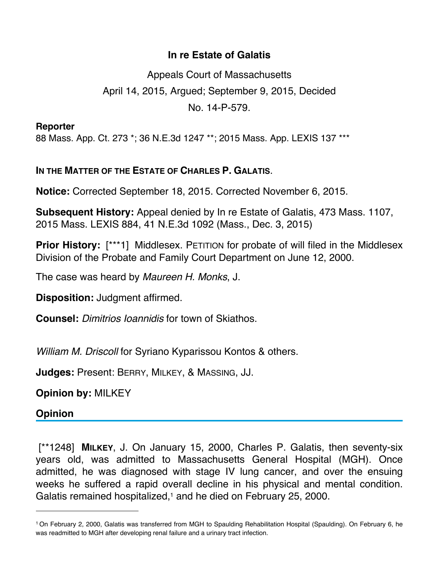## **In re Estate of Galatis**

Appeals Court of Massachusetts April 14, 2015, Argued; September 9, 2015, Decided No. 14-P-579.

**Reporter**

88 Mass. App. Ct. 273 \*; 36 N.E.3d 1247 \*\*; 2015 Mass. App. LEXIS 137 \*\*\*

## **IN THE MATTER OF THE ESTATE OF CHARLES P. GALATIS**.

**Notice:** Corrected September 18, 2015. Corrected November 6, 2015.

**Subsequent History:** Appeal denied by In re Estate of Galatis, 473 Mass. 1107, 2015 Mass. LEXIS 884, 41 N.E.3d 1092 (Mass., Dec. 3, 2015)

**Prior History:** [\*\*\*1] Middlesex. PETITION for probate of will filed in the Middlesex Division of the Probate and Family Court Department on June 12, 2000.

The case was heard by *Maureen H. Monks*, J.

**Disposition:** Judgment affirmed.

**Counsel:** *Dimitrios Ioannidis* for town of Skiathos.

*William M. Driscoll* for Syriano Kyparissou Kontos & others.

**Judges:** Present: BERRY, MILKEY, & MASSING, JJ.

**Opinion by:** MILKEY

**Opinion**

 [\*\*1248] **MILKEY**, J. On January 15, 2000, Charles P. Galatis, then seventy-six years old, was admitted to Massachusetts General Hospital (MGH). Once admitted, he was diagnosed with stage IV lung cancer, and over the ensuing weeks he suffered a rapid overall decline in his physical and mental condition. Galatis remained hospitalized,<sup>1</sup> and he died on February 25, 2000.

<sup>1</sup> On February 2, 2000, Galatis was transferred from MGH to Spaulding Rehabilitation Hospital (Spaulding). On February 6, he was readmitted to MGH after developing renal failure and a urinary tract infection.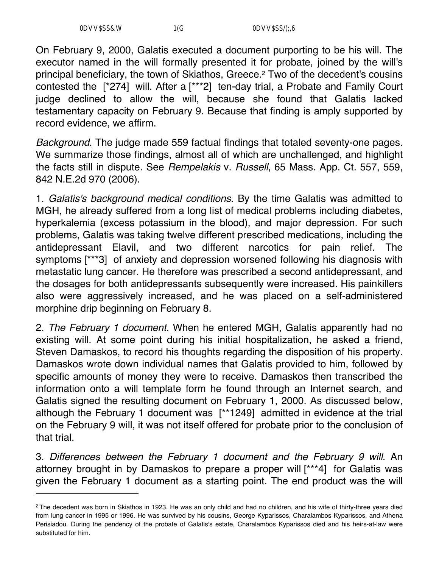On February 9, 2000, Galatis executed a document purporting to be his will. The executor named in the will formally presented it for probate, joined by the will's principal beneficiary, the town of Skiathos, Greece.2 Two of the decedent's cousins contested the [\*274] will. After a [\*\*\*2] ten-day trial, a Probate and Family Court judge declined to allow the will, because she found that Galatis lacked testamentary capacity on February 9. Because that finding is amply supported by record evidence, we affirm.

*Background*. The judge made 559 factual findings that totaled seventy-one pages. We summarize those findings, almost all of which are unchallenged, and highlight the facts still in dispute. See *Rempelakis* v. *Russell*, 65 Mass. App. Ct. 557, 559, 842 N.E.2d 970 (2006).

1. *Galatis's background medical conditions*. By the time Galatis was admitted to MGH, he already suffered from a long list of medical problems including diabetes, hyperkalemia (excess potassium in the blood), and major depression. For such problems, Galatis was taking twelve different prescribed medications, including the antidepressant Elavil, and two different narcotics for pain relief. The symptoms [\*\*\*3] of anxiety and depression worsened following his diagnosis with metastatic lung cancer. He therefore was prescribed a second antidepressant, and the dosages for both antidepressants subsequently were increased. His painkillers also were aggressively increased, and he was placed on a self-administered morphine drip beginning on February 8.

2. *The February 1 document*. When he entered MGH, Galatis apparently had no existing will. At some point during his initial hospitalization, he asked a friend, Steven Damaskos, to record his thoughts regarding the disposition of his property. Damaskos wrote down individual names that Galatis provided to him, followed by specific amounts of money they were to receive. Damaskos then transcribed the information onto a will template form he found through an Internet search, and Galatis signed the resulting document on February 1, 2000. As discussed below, although the February 1 document was [\*\*1249] admitted in evidence at the trial on the February 9 will, it was not itself offered for probate prior to the conclusion of that trial.

3. *Differences between the February 1 document and the February 9 will*. An attorney brought in by Damaskos to prepare a proper will [\*\*\*4] for Galatis was given the February 1 document as a starting point. The end product was the will

<sup>&</sup>lt;sup>2</sup> The decedent was born in Skiathos in 1923. He was an only child and had no children, and his wife of thirty-three years died from lung cancer in 1995 or 1996. He was survived by his cousins, George Kyparissos, Charalambos Kyparissos, and Athena Perisiadou. During the pendency of the probate of Galatis's estate, Charalambos Kyparissos died and his heirs-at-law were substituted for him.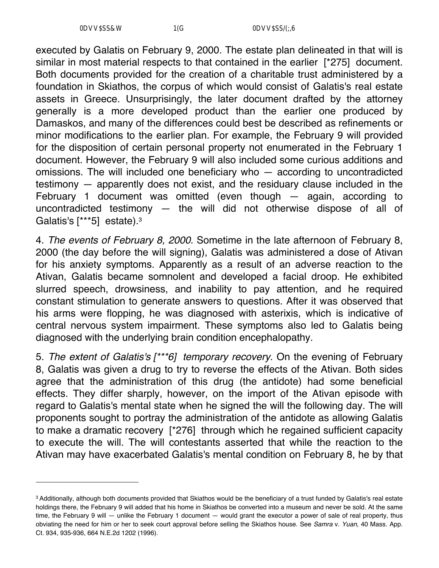executed by Galatis on February 9, 2000. The estate plan delineated in that will is similar in most material respects to that contained in the earlier [\*275] document. Both documents provided for the creation of a charitable trust administered by a foundation in Skiathos, the corpus of which would consist of Galatis's real estate assets in Greece. Unsurprisingly, the later document drafted by the attorney generally is a more developed product than the earlier one produced by Damaskos, and many of the differences could best be described as refinements or minor modifications to the earlier plan. For example, the February 9 will provided for the disposition of certain personal property not enumerated in the February 1 document. However, the February 9 will also included some curious additions and omissions. The will included one beneficiary who — according to uncontradicted testimony — apparently does not exist, and the residuary clause included in the February 1 document was omitted (even though — again, according to uncontradicted testimony — the will did not otherwise dispose of all of Galatis's [\*\*\*5] estate).<sup>3</sup>

4. *The events of February 8, 2000*. Sometime in the late afternoon of February 8, 2000 (the day before the will signing), Galatis was administered a dose of Ativan for his anxiety symptoms. Apparently as a result of an adverse reaction to the Ativan, Galatis became somnolent and developed a facial droop. He exhibited slurred speech, drowsiness, and inability to pay attention, and he required constant stimulation to generate answers to questions. After it was observed that his arms were flopping, he was diagnosed with asterixis, which is indicative of central nervous system impairment. These symptoms also led to Galatis being diagnosed with the underlying brain condition encephalopathy.

5. *The extent of Galatis's [\*\*\*6] temporary recovery*. On the evening of February 8, Galatis was given a drug to try to reverse the effects of the Ativan. Both sides agree that the administration of this drug (the antidote) had some beneficial effects. They differ sharply, however, on the import of the Ativan episode with regard to Galatis's mental state when he signed the will the following day. The will proponents sought to portray the administration of the antidote as allowing Galatis to make a dramatic recovery [\*276] through which he regained sufficient capacity to execute the will. The will contestants asserted that while the reaction to the Ativan may have exacerbated Galatis's mental condition on February 8, he by that

<sup>3</sup> Additionally, although both documents provided that Skiathos would be the beneficiary of a trust funded by Galatis's real estate holdings there, the February 9 will added that his home in Skiathos be converted into a museum and never be sold. At the same time, the February 9 will — unlike the February 1 document — would grant the executor a power of sale of real property, thus obviating the need for him or her to seek court approval before selling the Skiathos house. See *Samra* v. *Yuan*, 40 Mass. App. Ct. 934, 935-936, 664 N.E.2d 1202 (1996).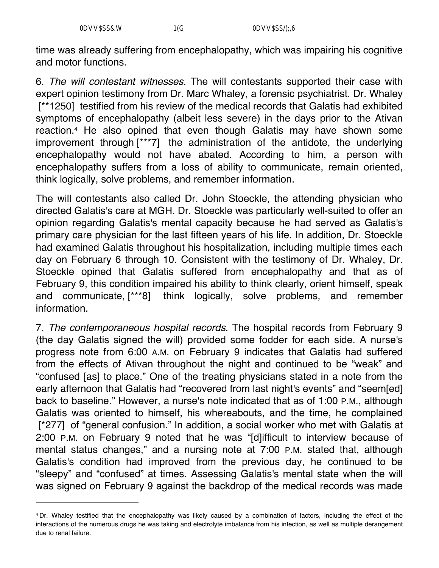time was already suffering from encephalopathy, which was impairing his cognitive and motor functions.

6. *The will contestant witnesses*. The will contestants supported their case with expert opinion testimony from Dr. Marc Whaley, a forensic psychiatrist. Dr. Whaley [\*\*1250] testified from his review of the medical records that Galatis had exhibited symptoms of encephalopathy (albeit less severe) in the days prior to the Ativan reaction.4 He also opined that even though Galatis may have shown some improvement through [\*\*\*7] the administration of the antidote, the underlying encephalopathy would not have abated. According to him, a person with encephalopathy suffers from a loss of ability to communicate, remain oriented, think logically, solve problems, and remember information.

The will contestants also called Dr. John Stoeckle, the attending physician who directed Galatis's care at MGH. Dr. Stoeckle was particularly well-suited to offer an opinion regarding Galatis's mental capacity because he had served as Galatis's primary care physician for the last fifteen years of his life. In addition, Dr. Stoeckle had examined Galatis throughout his hospitalization, including multiple times each day on February 6 through 10. Consistent with the testimony of Dr. Whaley, Dr. Stoeckle opined that Galatis suffered from encephalopathy and that as of February 9, this condition impaired his ability to think clearly, orient himself, speak and communicate, [\*\*\*8] think logically, solve problems, and remember information.

7. *The contemporaneous hospital records*. The hospital records from February 9 (the day Galatis signed the will) provided some fodder for each side. A nurse's progress note from 6:00 A.M. on February 9 indicates that Galatis had suffered from the effects of Ativan throughout the night and continued to be "weak" and "confused [as] to place." One of the treating physicians stated in a note from the early afternoon that Galatis had "recovered from last night's events" and "seem[ed] back to baseline." However, a nurse's note indicated that as of 1:00 P.M., although Galatis was oriented to himself, his whereabouts, and the time, he complained [\*277] of "general confusion." In addition, a social worker who met with Galatis at 2:00 P.M. on February 9 noted that he was "[d]ifficult to interview because of mental status changes," and a nursing note at 7:00 P.M. stated that, although Galatis's condition had improved from the previous day, he continued to be "sleepy" and "confused" at times. Assessing Galatis's mental state when the will was signed on February 9 against the backdrop of the medical records was made

<sup>4</sup> Dr. Whaley testified that the encephalopathy was likely caused by a combination of factors, including the effect of the interactions of the numerous drugs he was taking and electrolyte imbalance from his infection, as well as multiple derangement due to renal failure.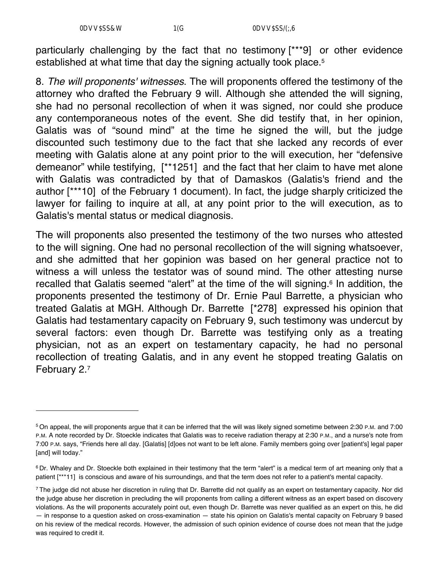particularly challenging by the fact that no testimony [\*\*\*9] or other evidence established at what time that day the signing actually took place.5

8. *The will proponents' witnesses*. The will proponents offered the testimony of the attorney who drafted the February 9 will. Although she attended the will signing, she had no personal recollection of when it was signed, nor could she produce any contemporaneous notes of the event. She did testify that, in her opinion, Galatis was of "sound mind" at the time he signed the will, but the judge discounted such testimony due to the fact that she lacked any records of ever meeting with Galatis alone at any point prior to the will execution, her "defensive demeanor" while testifying, [\*\*1251] and the fact that her claim to have met alone with Galatis was contradicted by that of Damaskos (Galatis's friend and the author [\*\*\*10] of the February 1 document). In fact, the judge sharply criticized the lawyer for failing to inquire at all, at any point prior to the will execution, as to Galatis's mental status or medical diagnosis.

The will proponents also presented the testimony of the two nurses who attested to the will signing. One had no personal recollection of the will signing whatsoever, and she admitted that her gopinion was based on her general practice not to witness a will unless the testator was of sound mind. The other attesting nurse recalled that Galatis seemed "alert" at the time of the will signing.6 In addition, the proponents presented the testimony of Dr. Ernie Paul Barrette, a physician who treated Galatis at MGH. Although Dr. Barrette [\*278] expressed his opinion that Galatis had testamentary capacity on February 9, such testimony was undercut by several factors: even though Dr. Barrette was testifying only as a treating physician, not as an expert on testamentary capacity, he had no personal recollection of treating Galatis, and in any event he stopped treating Galatis on February 2.7

<sup>5</sup> On appeal, the will proponents argue that it can be inferred that the will was likely signed sometime between 2:30 P.M. and 7:00 P.M. A note recorded by Dr. Stoeckle indicates that Galatis was to receive radiation therapy at 2:30 P.M., and a nurse's note from 7:00 P.M. says, "Friends here all day. [Galatis] [d]oes not want to be left alone. Family members going over [patient's] legal paper [and] will today."

<sup>&</sup>lt;sup>6</sup> Dr. Whaley and Dr. Stoeckle both explained in their testimony that the term "alert" is a medical term of art meaning only that a patient [\*\*\*11] is conscious and aware of his surroundings, and that the term does not refer to a patient's mental capacity.

<sup>&</sup>lt;sup>7</sup> The judge did not abuse her discretion in ruling that Dr. Barrette did not qualify as an expert on testamentary capacity. Nor did the judge abuse her discretion in precluding the will proponents from calling a different witness as an expert based on discovery violations. As the will proponents accurately point out, even though Dr. Barrette was never qualified as an expert on this, he did — in response to a question asked on cross-examination — state his opinion on Galatis's mental capacity on February 9 based on his review of the medical records. However, the admission of such opinion evidence of course does not mean that the judge was required to credit it.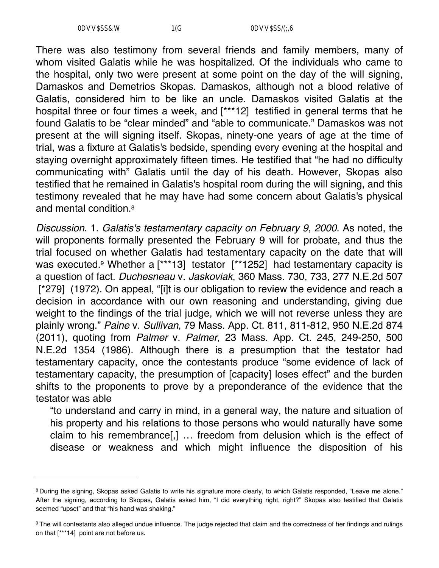There was also testimony from several friends and family members, many of whom visited Galatis while he was hospitalized. Of the individuals who came to the hospital, only two were present at some point on the day of the will signing, Damaskos and Demetrios Skopas. Damaskos, although not a blood relative of Galatis, considered him to be like an uncle. Damaskos visited Galatis at the hospital three or four times a week, and [\*\*\*12] testified in general terms that he found Galatis to be "clear minded" and "able to communicate." Damaskos was not present at the will signing itself. Skopas, ninety-one years of age at the time of trial, was a fixture at Galatis's bedside, spending every evening at the hospital and staying overnight approximately fifteen times. He testified that "he had no difficulty communicating with" Galatis until the day of his death. However, Skopas also testified that he remained in Galatis's hospital room during the will signing, and this testimony revealed that he may have had some concern about Galatis's physical and mental condition.8

*Discussion*. 1. *Galatis's testamentary capacity on February 9, 2000*. As noted, the will proponents formally presented the February 9 will for probate, and thus the trial focused on whether Galatis had testamentary capacity on the date that will was executed.<sup>9</sup> Whether a [\*\*\*13] testator [\*\*1252] had testamentary capacity is a question of fact. *Duchesneau* v. *Jaskoviak*, 360 Mass. 730, 733, 277 N.E.2d 507 [\*279] (1972). On appeal, "[i]t is our obligation to review the evidence and reach a decision in accordance with our own reasoning and understanding, giving due weight to the findings of the trial judge, which we will not reverse unless they are plainly wrong." *Paine* v. *Sullivan*, 79 Mass. App. Ct. 811, 811-812, 950 N.E.2d 874 (2011), quoting from *Palmer* v. *Palmer*, 23 Mass. App. Ct. 245, 249-250, 500 N.E.2d 1354 (1986). Although there is a presumption that the testator had testamentary capacity, once the contestants produce "some evidence of lack of testamentary capacity, the presumption of [capacity] loses effect" and the burden shifts to the proponents to prove by a preponderance of the evidence that the testator was able

"to understand and carry in mind, in a general way, the nature and situation of his property and his relations to those persons who would naturally have some claim to his remembrance[,] … freedom from delusion which is the effect of disease or weakness and which might influence the disposition of his

<sup>8</sup> During the signing, Skopas asked Galatis to write his signature more clearly, to which Galatis responded, "Leave me alone." After the signing, according to Skopas, Galatis asked him, "I did everything right, right?" Skopas also testified that Galatis seemed "upset" and that "his hand was shaking."

<sup>9</sup> The will contestants also alleged undue influence. The judge rejected that claim and the correctness of her findings and rulings on that [\*\*\*14] point are not before us.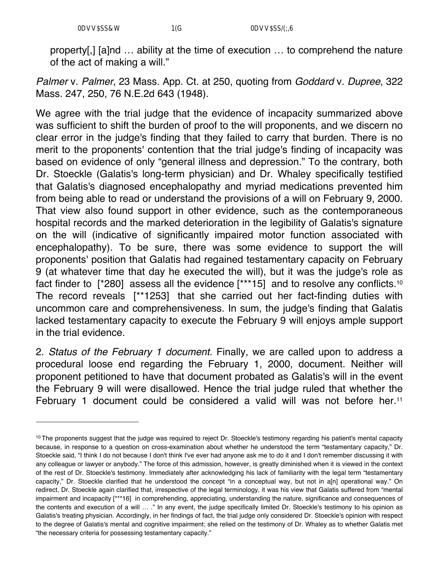property[,] [a]nd … ability at the time of execution … to comprehend the nature of the act of making a will."

*Palmer* v. *Palmer*, 23 Mass. App. Ct. at 250, quoting from *Goddard* v. *Dupree*, 322 Mass. 247, 250, 76 N.E.2d 643 (1948).

We agree with the trial judge that the evidence of incapacity summarized above was sufficient to shift the burden of proof to the will proponents, and we discern no clear error in the judge's finding that they failed to carry that burden. There is no merit to the proponents' contention that the trial judge's finding of incapacity was based on evidence of only "general illness and depression." To the contrary, both Dr. Stoeckle (Galatis's long-term physician) and Dr. Whaley specifically testified that Galatis's diagnosed encephalopathy and myriad medications prevented him from being able to read or understand the provisions of a will on February 9, 2000. That view also found support in other evidence, such as the contemporaneous hospital records and the marked deterioration in the legibility of Galatis's signature on the will (indicative of significantly impaired motor function associated with encephalopathy). To be sure, there was some evidence to support the will proponents' position that Galatis had regained testamentary capacity on February 9 (at whatever time that day he executed the will), but it was the judge's role as fact finder to [\*280] assess all the evidence [\*\*\*15] and to resolve any conflicts.10 The record reveals [\*\*1253] that she carried out her fact-finding duties with uncommon care and comprehensiveness. In sum, the judge's finding that Galatis lacked testamentary capacity to execute the February 9 will enjoys ample support in the trial evidence.

2. *Status of the February 1 document*. Finally, we are called upon to address a procedural loose end regarding the February 1, 2000, document. Neither will proponent petitioned to have that document probated as Galatis's will in the event the February 9 will were disallowed. Hence the trial judge ruled that whether the February 1 document could be considered a valid will was not before her.<sup>11</sup>

<sup>&</sup>lt;sup>10</sup> The proponents suggest that the judge was required to reject Dr. Stoeckle's testimony regarding his patient's mental capacity because, in response to a question on cross-examination about whether he understood the term "testamentary capacity," Dr. Stoeckle said, "I think I do not because I don't think I've ever had anyone ask me to do it and I don't remember discussing it with any colleague or lawyer or anybody." The force of this admission, however, is greatly diminished when it is viewed in the context of the rest of Dr. Stoeckle's testimony. Immediately after acknowledging his lack of familiarity with the legal term "testamentary capacity," Dr. Stoeckle clarified that he understood the concept "in a conceptual way, but not in a[n] operational way." On redirect, Dr. Stoeckle again clarified that, irrespective of the legal terminology, it was his view that Galatis suffered from "mental impairment and incapacity [\*\*\*16] in comprehending, appreciating, understanding the nature, significance and consequences of the contents and execution of a will … ." In any event, the judge specifically limited Dr. Stoeckle's testimony to his opinion as Galatis's treating physician. Accordingly, in her findings of fact, the trial judge only considered Dr. Stoeckle's opinion with respect to the degree of Galatis's mental and cognitive impairment; she relied on the testimony of Dr. Whaley as to whether Galatis met "the necessary criteria for possessing testamentary capacity."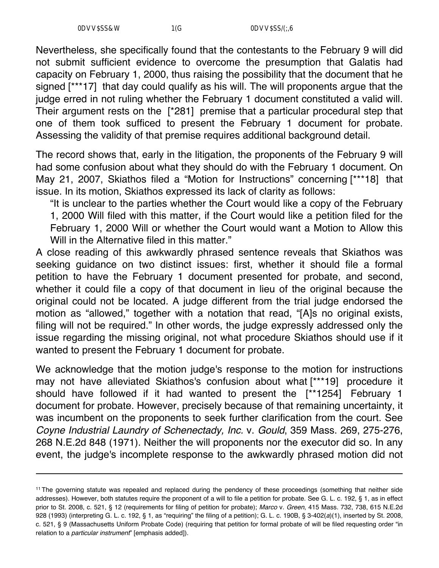Nevertheless, she specifically found that the contestants to the February 9 will did not submit sufficient evidence to overcome the presumption that Galatis had capacity on February 1, 2000, thus raising the possibility that the document that he signed [\*\*\*17] that day could qualify as his will. The will proponents argue that the judge erred in not ruling whether the February 1 document constituted a valid will. Their argument rests on the [\*281] premise that a particular procedural step that one of them took sufficed to present the February 1 document for probate. Assessing the validity of that premise requires additional background detail.

The record shows that, early in the litigation, the proponents of the February 9 will had some confusion about what they should do with the February 1 document. On May 21, 2007, Skiathos filed a "Motion for Instructions" concerning [\*\*\*18] that issue. In its motion, Skiathos expressed its lack of clarity as follows:

"It is unclear to the parties whether the Court would like a copy of the February 1, 2000 Will filed with this matter, if the Court would like a petition filed for the February 1, 2000 Will or whether the Court would want a Motion to Allow this Will in the Alternative filed in this matter."

A close reading of this awkwardly phrased sentence reveals that Skiathos was seeking guidance on two distinct issues: first, whether it should file a formal petition to have the February 1 document presented for probate, and second, whether it could file a copy of that document in lieu of the original because the original could not be located. A judge different from the trial judge endorsed the motion as "allowed," together with a notation that read, "[A]s no original exists, filing will not be required." In other words, the judge expressly addressed only the issue regarding the missing original, not what procedure Skiathos should use if it wanted to present the February 1 document for probate.

We acknowledge that the motion judge's response to the motion for instructions may not have alleviated Skiathos's confusion about what [\*\*\*19] procedure it should have followed if it had wanted to present the [\*\*1254] February 1 document for probate. However, precisely because of that remaining uncertainty, it was incumbent on the proponents to seek further clarification from the court. See *Coyne Industrial Laundry of Schenectady, Inc.* v. *Gould*, 359 Mass. 269, 275-276, 268 N.E.2d 848 (1971). Neither the will proponents nor the executor did so. In any event, the judge's incomplete response to the awkwardly phrased motion did not

<sup>11</sup> The governing statute was repealed and replaced during the pendency of these proceedings (something that neither side addresses). However, both statutes require the proponent of a will to file a petition for probate. See G. L. c. 192, § 1, as in effect prior to St. 2008, c. 521, § 12 (requirements for filing of petition for probate); *Marco* v. *Green*, 415 Mass. 732, 738, 615 N.E.2d 928 (1993) (interpreting G. L. c. 192, § 1, as "requiring" the filing of a petition); G. L. c. 190B, § 3-402(*a*)(1), inserted by St. 2008, c. 521, § 9 (Massachusetts Uniform Probate Code) (requiring that petition for formal probate of will be filed requesting order "in relation to a *particular instrument*" [emphasis added]).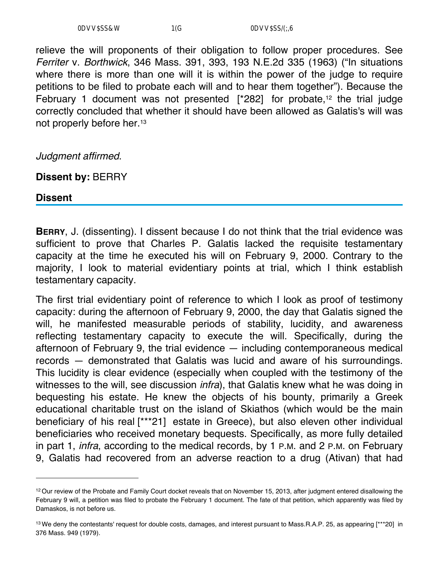relieve the will proponents of their obligation to follow proper procedures. See *Ferriter* v. *Borthwick*, 346 Mass. 391, 393, 193 N.E.2d 335 (1963) ("In situations where there is more than one will it is within the power of the judge to require petitions to be filed to probate each will and to hear them together"). Because the February 1 document was not presented  $[^*282]$  for probate,<sup>12</sup> the trial judge correctly concluded that whether it should have been allowed as Galatis's will was not properly before her.13

*Judgment affirmed*.

**Dissent by:** BERRY

**Dissent**

**BERRY**, J. (dissenting). I dissent because I do not think that the trial evidence was sufficient to prove that Charles P. Galatis lacked the requisite testamentary capacity at the time he executed his will on February 9, 2000. Contrary to the majority, I look to material evidentiary points at trial, which I think establish testamentary capacity.

The first trial evidentiary point of reference to which I look as proof of testimony capacity: during the afternoon of February 9, 2000, the day that Galatis signed the will, he manifested measurable periods of stability, lucidity, and awareness reflecting testamentary capacity to execute the will. Specifically, during the afternoon of February 9, the trial evidence — including contemporaneous medical records — demonstrated that Galatis was lucid and aware of his surroundings. This lucidity is clear evidence (especially when coupled with the testimony of the witnesses to the will, see discussion *infra*), that Galatis knew what he was doing in bequesting his estate. He knew the objects of his bounty, primarily a Greek educational charitable trust on the island of Skiathos (which would be the main beneficiary of his real [\*\*\*21] estate in Greece), but also eleven other individual beneficiaries who received monetary bequests. Specifically, as more fully detailed in part 1, *infra*, according to the medical records, by 1 P.M. and 2 P.M. on February 9, Galatis had recovered from an adverse reaction to a drug (Ativan) that had

<sup>&</sup>lt;sup>12</sup> Our review of the Probate and Family Court docket reveals that on November 15, 2013, after judgment entered disallowing the February 9 will, a petition was filed to probate the February 1 document. The fate of that petition, which apparently was filed by Damaskos, is not before us.

<sup>13</sup> We deny the contestants' request for double costs, damages, and interest pursuant to Mass.R.A.P. 25, as appearing [\*\*\*20] in 376 Mass. 949 (1979).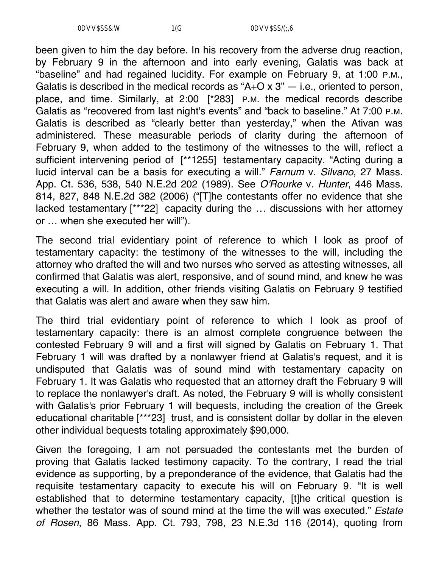been given to him the day before. In his recovery from the adverse drug reaction, by February 9 in the afternoon and into early evening, Galatis was back at "baseline" and had regained lucidity. For example on February 9, at 1:00 P.M., Galatis is described in the medical records as " $A+O \times 3$ "  $-$  i.e., oriented to person, place, and time. Similarly, at 2:00 [\*283] P.M. the medical records describe Galatis as "recovered from last night's events" and "back to baseline." At 7:00 P.M. Galatis is described as "clearly better than yesterday," when the Ativan was administered. These measurable periods of clarity during the afternoon of February 9, when added to the testimony of the witnesses to the will, reflect a sufficient intervening period of [\*\*1255] testamentary capacity. "Acting during a lucid interval can be a basis for executing a will." *Farnum* v. *Silvano*, 27 Mass. App. Ct. 536, 538, 540 N.E.2d 202 (1989). See *O'Rourke* v. *Hunter*, 446 Mass. 814, 827, 848 N.E.2d 382 (2006) ("[T]he contestants offer no evidence that she lacked testamentary [\*\*\*22] capacity during the … discussions with her attorney or … when she executed her will").

The second trial evidentiary point of reference to which I look as proof of testamentary capacity: the testimony of the witnesses to the will, including the attorney who drafted the will and two nurses who served as attesting witnesses, all confirmed that Galatis was alert, responsive, and of sound mind, and knew he was executing a will. In addition, other friends visiting Galatis on February 9 testified that Galatis was alert and aware when they saw him.

The third trial evidentiary point of reference to which I look as proof of testamentary capacity: there is an almost complete congruence between the contested February 9 will and a first will signed by Galatis on February 1. That February 1 will was drafted by a nonlawyer friend at Galatis's request, and it is undisputed that Galatis was of sound mind with testamentary capacity on February 1. It was Galatis who requested that an attorney draft the February 9 will to replace the nonlawyer's draft. As noted, the February 9 will is wholly consistent with Galatis's prior February 1 will bequests, including the creation of the Greek educational charitable [\*\*\*23] trust, and is consistent dollar by dollar in the eleven other individual bequests totaling approximately \$90,000.

Given the foregoing, I am not persuaded the contestants met the burden of proving that Galatis lacked testimony capacity. To the contrary, I read the trial evidence as supporting, by a preponderance of the evidence, that Galatis had the requisite testamentary capacity to execute his will on February 9. "It is well established that to determine testamentary capacity, [t]he critical question is whether the testator was of sound mind at the time the will was executed." *Estate of Rosen*, 86 Mass. App. Ct. 793, 798, 23 N.E.3d 116 (2014), quoting from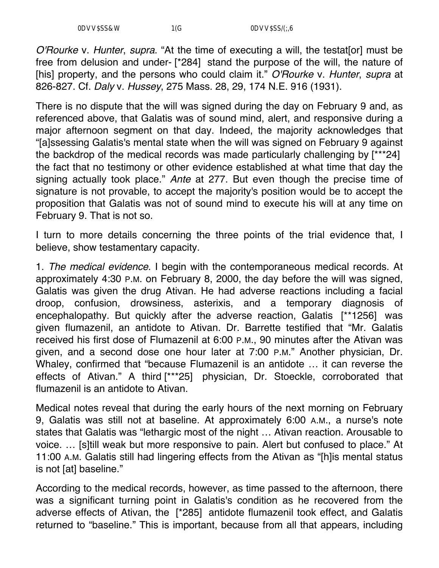*O'Rourke* v. *Hunter*, *supra*. "At the time of executing a will, the testat[or] must be free from delusion and under- [\*284] stand the purpose of the will, the nature of [his] property, and the persons who could claim it." *O'Rourke* v. *Hunter*, *supra* at 826-827. Cf. *Daly* v. *Hussey*, 275 Mass. 28, 29, 174 N.E. 916 (1931).

There is no dispute that the will was signed during the day on February 9 and, as referenced above, that Galatis was of sound mind, alert, and responsive during a major afternoon segment on that day. Indeed, the majority acknowledges that "[a]ssessing Galatis's mental state when the will was signed on February 9 against the backdrop of the medical records was made particularly challenging by [\*\*\*24] the fact that no testimony or other evidence established at what time that day the signing actually took place." *Ante* at 277. But even though the precise time of signature is not provable, to accept the majority's position would be to accept the proposition that Galatis was not of sound mind to execute his will at any time on February 9. That is not so.

I turn to more details concerning the three points of the trial evidence that, I believe, show testamentary capacity.

1. *The medical evidence*. I begin with the contemporaneous medical records. At approximately 4:30 P.M. on February 8, 2000, the day before the will was signed, Galatis was given the drug Ativan. He had adverse reactions including a facial droop, confusion, drowsiness, asterixis, and a temporary diagnosis of encephalopathy. But quickly after the adverse reaction, Galatis [\*\*1256] was given flumazenil, an antidote to Ativan. Dr. Barrette testified that "Mr. Galatis received his first dose of Flumazenil at 6:00 P.M., 90 minutes after the Ativan was given, and a second dose one hour later at 7:00 P.M." Another physician, Dr. Whaley, confirmed that "because Flumazenil is an antidote … it can reverse the effects of Ativan." A third [\*\*\*25] physician, Dr. Stoeckle, corroborated that flumazenil is an antidote to Ativan.

Medical notes reveal that during the early hours of the next morning on February 9, Galatis was still not at baseline. At approximately 6:00 A.M., a nurse's note states that Galatis was "lethargic most of the night … Ativan reaction. Arousable to voice. … [s]till weak but more responsive to pain. Alert but confused to place." At 11:00 A.M. Galatis still had lingering effects from the Ativan as "[h]is mental status is not [at] baseline."

According to the medical records, however, as time passed to the afternoon, there was a significant turning point in Galatis's condition as he recovered from the adverse effects of Ativan, the [\*285] antidote flumazenil took effect, and Galatis returned to "baseline." This is important, because from all that appears, including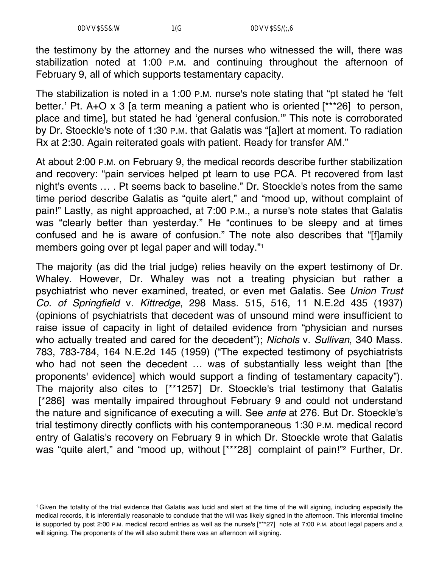the testimony by the attorney and the nurses who witnessed the will, there was stabilization noted at 1:00 P.M. and continuing throughout the afternoon of February 9, all of which supports testamentary capacity.

The stabilization is noted in a 1:00 P.M. nurse's note stating that "pt stated he 'felt better.' Pt. A+O x 3 [a term meaning a patient who is oriented [\*\*\*26] to person, place and time], but stated he had 'general confusion.'" This note is corroborated by Dr. Stoeckle's note of 1:30 P.M. that Galatis was "[a]lert at moment. To radiation Rx at 2:30. Again reiterated goals with patient. Ready for transfer AM."

At about 2:00 P.M. on February 9, the medical records describe further stabilization and recovery: "pain services helped pt learn to use PCA. Pt recovered from last night's events … . Pt seems back to baseline." Dr. Stoeckle's notes from the same time period describe Galatis as "quite alert," and "mood up, without complaint of pain!" Lastly, as night approached, at 7:00 P.M., a nurse's note states that Galatis was "clearly better than yesterday." He "continues to be sleepy and at times confused and he is aware of confusion." The note also describes that "[f]amily members going over pt legal paper and will today."1

The majority (as did the trial judge) relies heavily on the expert testimony of Dr. Whaley. However, Dr. Whaley was not a treating physician but rather a psychiatrist who never examined, treated, or even met Galatis. See *Union Trust Co. of Springfield* v. *Kittredge*, 298 Mass. 515, 516, 11 N.E.2d 435 (1937) (opinions of psychiatrists that decedent was of unsound mind were insufficient to raise issue of capacity in light of detailed evidence from "physician and nurses who actually treated and cared for the decedent"); *Nichols* v. *Sullivan*, 340 Mass. 783, 783-784, 164 N.E.2d 145 (1959) ("The expected testimony of psychiatrists who had not seen the decedent ... was of substantially less weight than [the proponents' evidence] which would support a finding of testamentary capacity"). The majority also cites to [\*\*1257] Dr. Stoeckle's trial testimony that Galatis [\*286] was mentally impaired throughout February 9 and could not understand the nature and significance of executing a will. See *ante* at 276. But Dr. Stoeckle's trial testimony directly conflicts with his contemporaneous 1:30 P.M. medical record entry of Galatis's recovery on February 9 in which Dr. Stoeckle wrote that Galatis was "quite alert," and "mood up, without [\*\*\*28] complaint of pain!"<sup>2</sup> Further, Dr.

<sup>1</sup> Given the totality of the trial evidence that Galatis was lucid and alert at the time of the will signing, including especially the medical records, it is inferentially reasonable to conclude that the will was likely signed in the afternoon. This inferential timeline is supported by post 2:00 P.M. medical record entries as well as the nurse's [\*\*\*27] note at 7:00 P.M. about legal papers and a will signing. The proponents of the will also submit there was an afternoon will signing.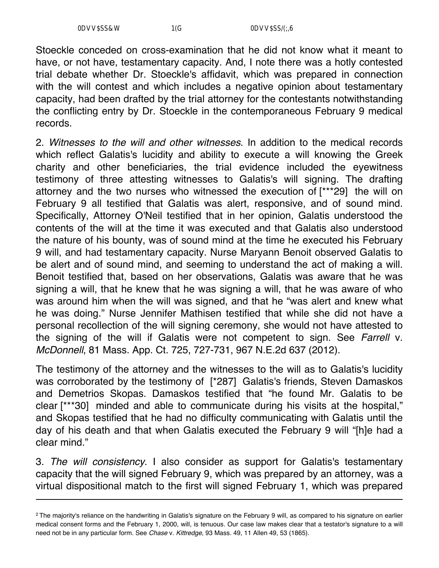Stoeckle conceded on cross-examination that he did not know what it meant to have, or not have, testamentary capacity. And, I note there was a hotly contested trial debate whether Dr. Stoeckle's affidavit, which was prepared in connection with the will contest and which includes a negative opinion about testamentary capacity, had been drafted by the trial attorney for the contestants notwithstanding the conflicting entry by Dr. Stoeckle in the contemporaneous February 9 medical records.

2. *Witnesses to the will and other witnesses*. In addition to the medical records which reflect Galatis's lucidity and ability to execute a will knowing the Greek charity and other beneficiaries, the trial evidence included the eyewitness testimony of three attesting witnesses to Galatis's will signing. The drafting attorney and the two nurses who witnessed the execution of [\*\*\*29] the will on February 9 all testified that Galatis was alert, responsive, and of sound mind. Specifically, Attorney O'Neil testified that in her opinion, Galatis understood the contents of the will at the time it was executed and that Galatis also understood the nature of his bounty, was of sound mind at the time he executed his February 9 will, and had testamentary capacity. Nurse Maryann Benoit observed Galatis to be alert and of sound mind, and seeming to understand the act of making a will. Benoit testified that, based on her observations, Galatis was aware that he was signing a will, that he knew that he was signing a will, that he was aware of who was around him when the will was signed, and that he "was alert and knew what he was doing." Nurse Jennifer Mathisen testified that while she did not have a personal recollection of the will signing ceremony, she would not have attested to the signing of the will if Galatis were not competent to sign. See *Farrell* v. *McDonnell*, 81 Mass. App. Ct. 725, 727-731, 967 N.E.2d 637 (2012).

The testimony of the attorney and the witnesses to the will as to Galatis's lucidity was corroborated by the testimony of [\*287] Galatis's friends, Steven Damaskos and Demetrios Skopas. Damaskos testified that "he found Mr. Galatis to be clear [\*\*\*30] minded and able to communicate during his visits at the hospital," and Skopas testified that he had no difficulty communicating with Galatis until the day of his death and that when Galatis executed the February 9 will "[h]e had a clear mind."

3. *The will consistency*. I also consider as support for Galatis's testamentary capacity that the will signed February 9, which was prepared by an attorney, was a virtual dispositional match to the first will signed February 1, which was prepared

<sup>&</sup>lt;sup>2</sup> The majority's reliance on the handwriting in Galatis's signature on the February 9 will, as compared to his signature on earlier medical consent forms and the February 1, 2000, will, is tenuous. Our case law makes clear that a testator's signature to a will need not be in any particular form. See *Chase* v. *Kittredge*, 93 Mass. 49, 11 Allen 49, 53 (1865).